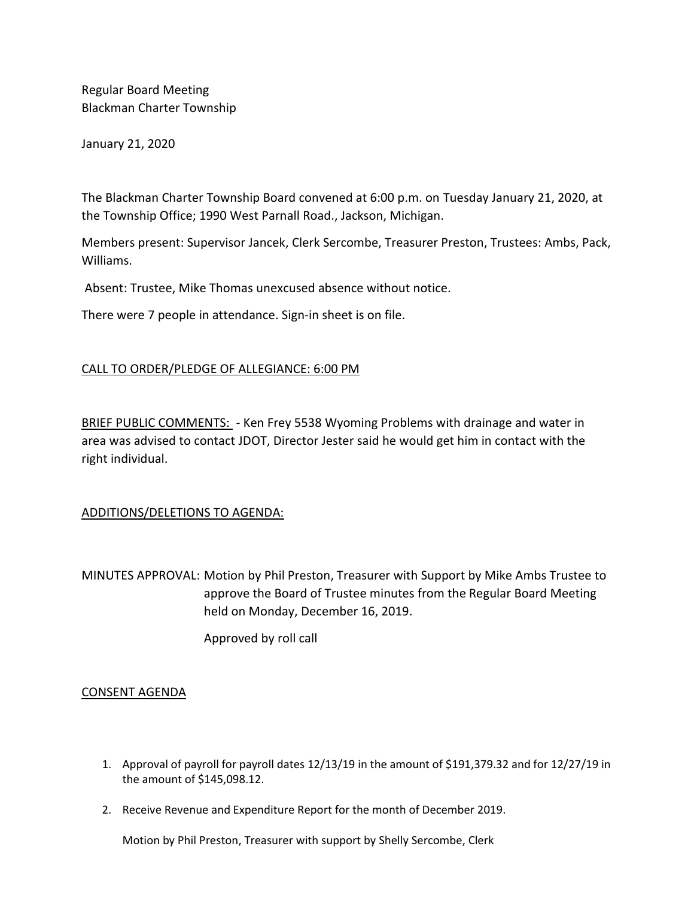Regular Board Meeting Blackman Charter Township

January 21, 2020

The Blackman Charter Township Board convened at 6:00 p.m. on Tuesday January 21, 2020, at the Township Office; 1990 West Parnall Road., Jackson, Michigan.

Members present: Supervisor Jancek, Clerk Sercombe, Treasurer Preston, Trustees: Ambs, Pack, Williams.

Absent: Trustee, Mike Thomas unexcused absence without notice.

There were 7 people in attendance. Sign-in sheet is on file.

# CALL TO ORDER/PLEDGE OF ALLEGIANCE: 6:00 PM

BRIEF PUBLIC COMMENTS: - Ken Frey 5538 Wyoming Problems with drainage and water in area was advised to contact JDOT, Director Jester said he would get him in contact with the right individual.

## ADDITIONS/DELETIONS TO AGENDA:

MINUTES APPROVAL: Motion by Phil Preston, Treasurer with Support by Mike Ambs Trustee to approve the Board of Trustee minutes from the Regular Board Meeting held on Monday, December 16, 2019.

Approved by roll call

## CONSENT AGENDA

- 1. Approval of payroll for payroll dates 12/13/19 in the amount of \$191,379.32 and for 12/27/19 in the amount of \$145,098.12.
- 2. Receive Revenue and Expenditure Report for the month of December 2019.

Motion by Phil Preston, Treasurer with support by Shelly Sercombe, Clerk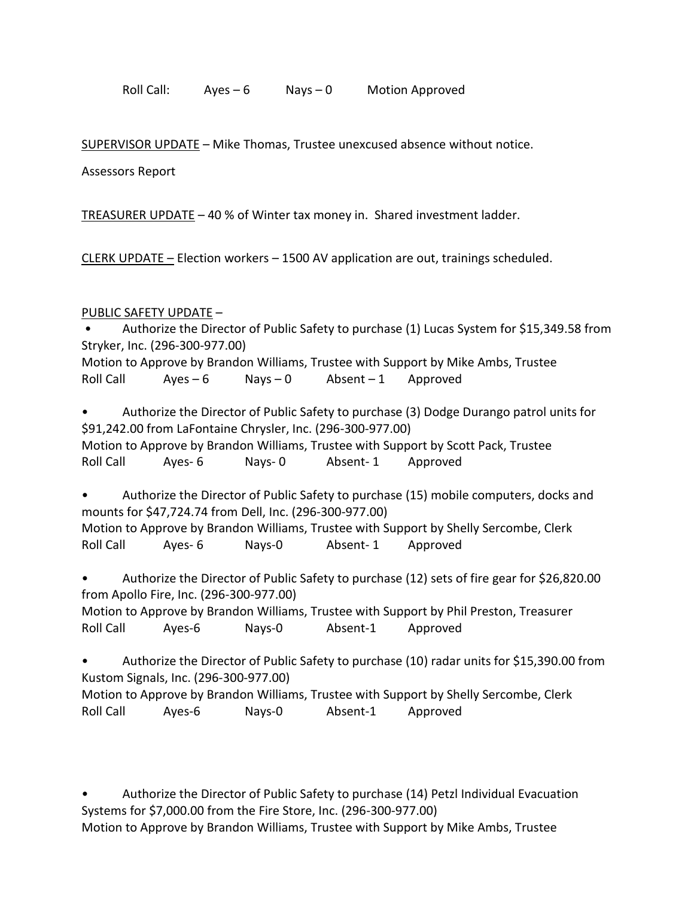Roll Call:  $Ayes - 6$  Nays  $-0$  Motion Approved

SUPERVISOR UPDATE – Mike Thomas, Trustee unexcused absence without notice.

Assessors Report

TREASURER UPDATE – 40 % of Winter tax money in. Shared investment ladder.

CLERK UPDATE – Election workers – 1500 AV application are out, trainings scheduled.

# PUBLIC SAFETY UPDATE –

• Authorize the Director of Public Safety to purchase (1) Lucas System for \$15,349.58 from Stryker, Inc. (296-300-977.00)

Motion to Approve by Brandon Williams, Trustee with Support by Mike Ambs, Trustee Roll Call  $Ayes - 6$  Nays - 0  $Absent - 1$  Approved

• Authorize the Director of Public Safety to purchase (3) Dodge Durango patrol units for \$91,242.00 from LaFontaine Chrysler, Inc. (296-300-977.00) Motion to Approve by Brandon Williams, Trustee with Support by Scott Pack, Trustee Roll Call Ayes- 6 Nays- 0 Absent- 1 Approved

• Authorize the Director of Public Safety to purchase (15) mobile computers, docks and mounts for \$47,724.74 from Dell, Inc. (296-300-977.00) Motion to Approve by Brandon Williams, Trustee with Support by Shelly Sercombe, Clerk Roll Call Ayes- 6 Nays-0 Absent- 1 Approved

• Authorize the Director of Public Safety to purchase (12) sets of fire gear for \$26,820.00 from Apollo Fire, Inc. (296-300-977.00)

Motion to Approve by Brandon Williams, Trustee with Support by Phil Preston, Treasurer Roll Call Ayes-6 Nays-0 Absent-1 Approved

• Authorize the Director of Public Safety to purchase (10) radar units for \$15,390.00 from Kustom Signals, Inc. (296-300-977.00) Motion to Approve by Brandon Williams, Trustee with Support by Shelly Sercombe, Clerk

Roll Call Ayes-6 Nays-0 Absent-1 Approved

• Authorize the Director of Public Safety to purchase (14) Petzl Individual Evacuation Systems for \$7,000.00 from the Fire Store, Inc. (296-300-977.00) Motion to Approve by Brandon Williams, Trustee with Support by Mike Ambs, Trustee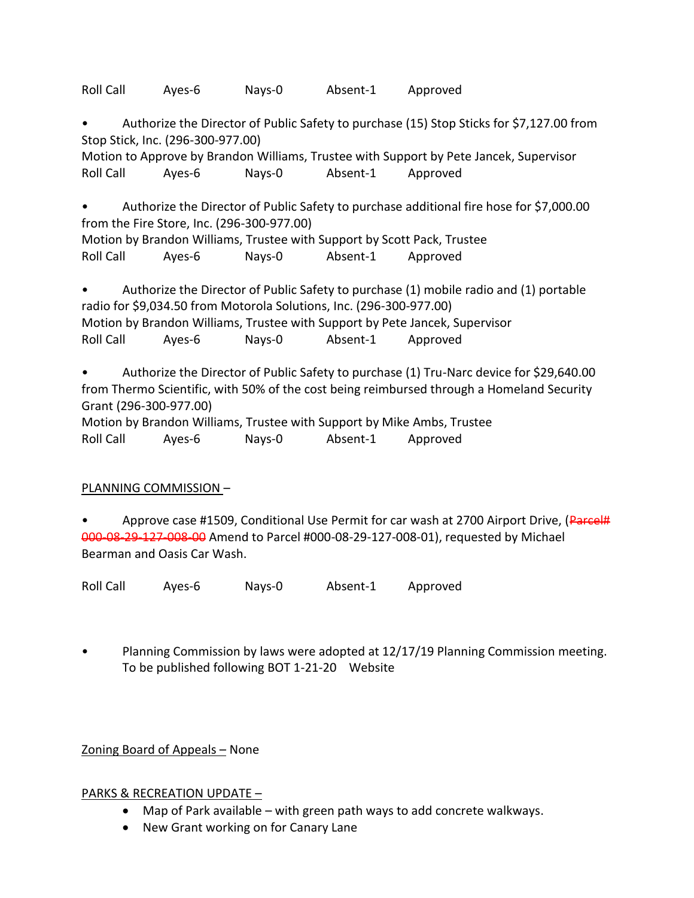Roll Call Ayes-6 Nays-0 Absent-1 Approved

• Authorize the Director of Public Safety to purchase (15) Stop Sticks for \$7,127.00 from Stop Stick, Inc. (296-300-977.00)

Motion to Approve by Brandon Williams, Trustee with Support by Pete Jancek, Supervisor Roll Call Ayes-6 Nays-0 Absent-1 Approved

• Authorize the Director of Public Safety to purchase additional fire hose for \$7,000.00 from the Fire Store, Inc. (296-300-977.00) Motion by Brandon Williams, Trustee with Support by Scott Pack, Trustee

Roll Call Ayes-6 Nays-0 Absent-1 Approved

• Authorize the Director of Public Safety to purchase (1) mobile radio and (1) portable radio for \$9,034.50 from Motorola Solutions, Inc. (296-300-977.00) Motion by Brandon Williams, Trustee with Support by Pete Jancek, Supervisor Roll Call Ayes-6 Nays-0 Absent-1 Approved

• Authorize the Director of Public Safety to purchase (1) Tru-Narc device for \$29,640.00 from Thermo Scientific, with 50% of the cost being reimbursed through a Homeland Security Grant (296-300-977.00)

Motion by Brandon Williams, Trustee with Support by Mike Ambs, Trustee Roll Call Ayes-6 Nays-0 Absent-1 Approved

# PLANNING COMMISSION –

Approve case #1509, Conditional Use Permit for car wash at 2700 Airport Drive, (Parcel# 000-08-29-127-008-00 Amend to Parcel #000-08-29-127-008-01), requested by Michael Bearman and Oasis Car Wash.

Roll Call Ayes-6 Nays-0 Absent-1 Approved

• Planning Commission by laws were adopted at 12/17/19 Planning Commission meeting. To be published following BOT 1-21-20 Website

Zoning Board of Appeals – None

## PARKS & RECREATION UPDATE –

- Map of Park available with green path ways to add concrete walkways.
- New Grant working on for Canary Lane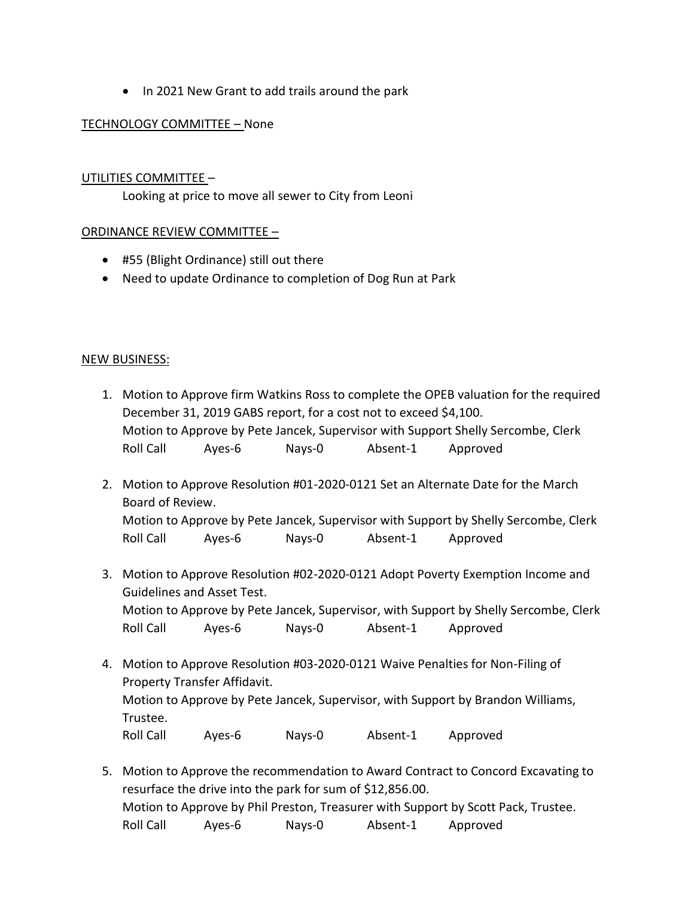• In 2021 New Grant to add trails around the park

## TECHNOLOGY COMMITTEE – None

## UTILITIES COMMITTEE –

Looking at price to move all sewer to City from Leoni

#### ORDINANCE REVIEW COMMITTEE –

- #55 (Blight Ordinance) still out there
- Need to update Ordinance to completion of Dog Run at Park

#### NEW BUSINESS:

- 1. Motion to Approve firm Watkins Ross to complete the OPEB valuation for the required December 31, 2019 GABS report, for a cost not to exceed \$4,100. Motion to Approve by Pete Jancek, Supervisor with Support Shelly Sercombe, Clerk Roll Call Ayes-6 Nays-0 Absent-1 Approved
- 2. Motion to Approve Resolution #01-2020-0121 Set an Alternate Date for the March Board of Review. Motion to Approve by Pete Jancek, Supervisor with Support by Shelly Sercombe, Clerk Roll Call Ayes-6 Nays-0 Absent-1 Approved
- 3. Motion to Approve Resolution #02-2020-0121 Adopt Poverty Exemption Income and Guidelines and Asset Test. Motion to Approve by Pete Jancek, Supervisor, with Support by Shelly Sercombe, Clerk Roll Call Ayes-6 Nays-0 Absent-1 Approved
- 4. Motion to Approve Resolution #03-2020-0121 Waive Penalties for Non-Filing of Property Transfer Affidavit. Motion to Approve by Pete Jancek, Supervisor, with Support by Brandon Williams, Trustee. Roll Call Ayes-6 Nays-0 Absent-1 Approved
- 5. Motion to Approve the recommendation to Award Contract to Concord Excavating to resurface the drive into the park for sum of \$12,856.00. Motion to Approve by Phil Preston, Treasurer with Support by Scott Pack, Trustee. Roll Call Ayes-6 Nays-0 Absent-1 Approved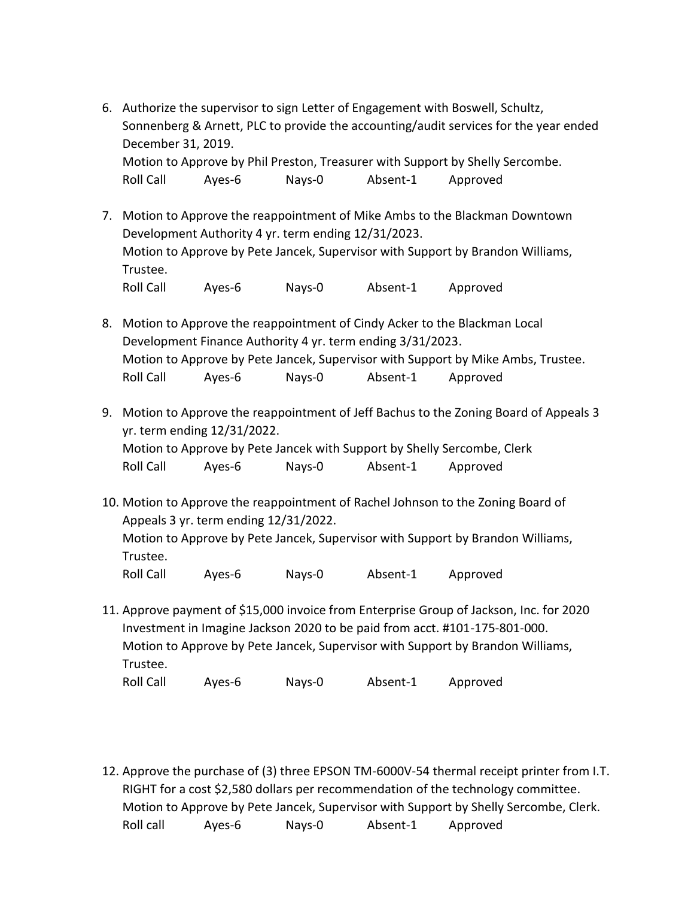- 6. Authorize the supervisor to sign Letter of Engagement with Boswell, Schultz, Sonnenberg & Arnett, PLC to provide the accounting/audit services for the year ended December 31, 2019. Motion to Approve by Phil Preston, Treasurer with Support by Shelly Sercombe. Roll Call Ayes-6 Nays-0 Absent-1 Approved
- 7. Motion to Approve the reappointment of Mike Ambs to the Blackman Downtown Development Authority 4 yr. term ending 12/31/2023. Motion to Approve by Pete Jancek, Supervisor with Support by Brandon Williams, Trustee. Roll Call Ayes-6 Nays-0 Absent-1 Approved
- 8. Motion to Approve the reappointment of Cindy Acker to the Blackman Local Development Finance Authority 4 yr. term ending 3/31/2023. Motion to Approve by Pete Jancek, Supervisor with Support by Mike Ambs, Trustee. Roll Call Ayes-6 Nays-0 Absent-1 Approved
- 9. Motion to Approve the reappointment of Jeff Bachus to the Zoning Board of Appeals 3 yr. term ending 12/31/2022. Motion to Approve by Pete Jancek with Support by Shelly Sercombe, Clerk

Roll Call Ayes-6 Nays-0 Absent-1 Approved

- 10. Motion to Approve the reappointment of Rachel Johnson to the Zoning Board of Appeals 3 yr. term ending 12/31/2022. Motion to Approve by Pete Jancek, Supervisor with Support by Brandon Williams, Trustee. Roll Call Ayes-6 Nays-0 Absent-1 Approved
- 11. Approve payment of \$15,000 invoice from Enterprise Group of Jackson, Inc. for 2020 Investment in Imagine Jackson 2020 to be paid from acct. #101-175-801-000. Motion to Approve by Pete Jancek, Supervisor with Support by Brandon Williams, Trustee. Roll Call Ayes-6 Nays-0 Absent-1 Approved
- 12. Approve the purchase of (3) three EPSON TM-6000V-54 thermal receipt printer from I.T. RIGHT for a cost \$2,580 dollars per recommendation of the technology committee. Motion to Approve by Pete Jancek, Supervisor with Support by Shelly Sercombe, Clerk. Roll call Ayes-6 Nays-0 Absent-1 Approved